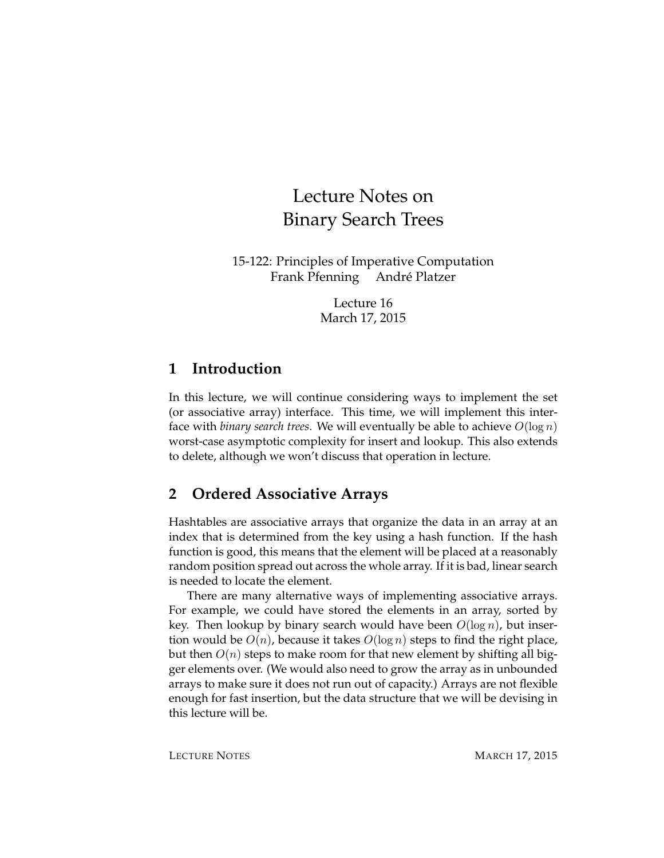# Lecture Notes on Binary Search Trees

15-122: Principles of Imperative Computation Frank Pfenning Andre Platzer ´

> Lecture 16 March 17, 2015

#### **1 Introduction**

In this lecture, we will continue considering ways to implement the set (or associative array) interface. This time, we will implement this interface with *binary search trees*. We will eventually be able to achieve  $O(\log n)$ worst-case asymptotic complexity for insert and lookup. This also extends to delete, although we won't discuss that operation in lecture.

## **2 Ordered Associative Arrays**

Hashtables are associative arrays that organize the data in an array at an index that is determined from the key using a hash function. If the hash function is good, this means that the element will be placed at a reasonably random position spread out across the whole array. If it is bad, linear search is needed to locate the element.

There are many alternative ways of implementing associative arrays. For example, we could have stored the elements in an array, sorted by key. Then lookup by binary search would have been  $O(\log n)$ , but insertion would be  $O(n)$ , because it takes  $O(\log n)$  steps to find the right place, but then  $O(n)$  steps to make room for that new element by shifting all bigger elements over. (We would also need to grow the array as in unbounded arrays to make sure it does not run out of capacity.) Arrays are not flexible enough for fast insertion, but the data structure that we will be devising in this lecture will be.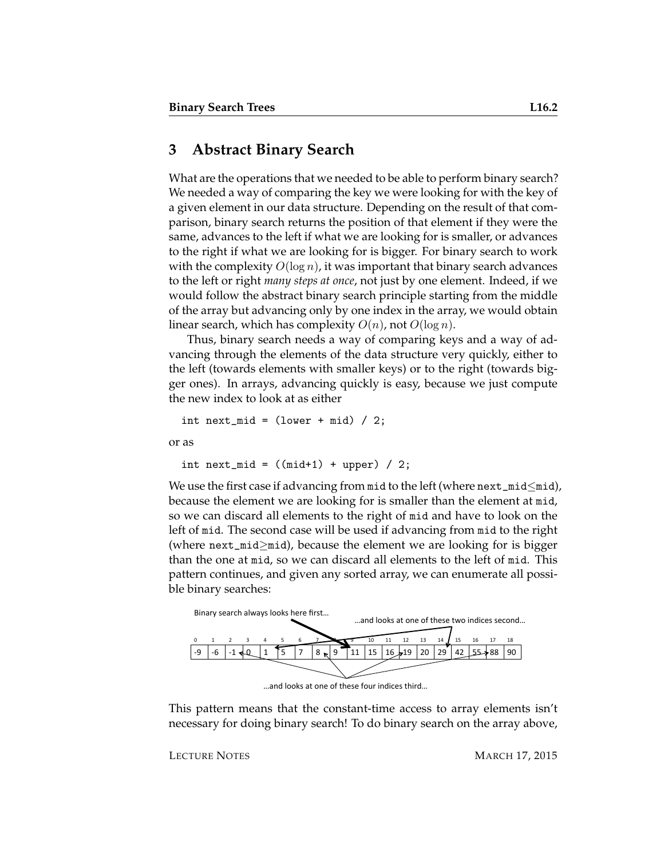#### **3 Abstract Binary Search**

What are the operations that we needed to be able to perform binary search? We needed a way of comparing the key we were looking for with the key of a given element in our data structure. Depending on the result of that comparison, binary search returns the position of that element if they were the same, advances to the left if what we are looking for is smaller, or advances to the right if what we are looking for is bigger. For binary search to work with the complexity  $O(\log n)$ , it was important that binary search advances to the left or right *many steps at once*, not just by one element. Indeed, if we would follow the abstract binary search principle starting from the middle of the array but advancing only by one index in the array, we would obtain linear search, which has complexity  $O(n)$ , not  $O(\log n)$ .

Thus, binary search needs a way of comparing keys and a way of advancing through the elements of the data structure very quickly, either to the left (towards elements with smaller keys) or to the right (towards bigger ones). In arrays, advancing quickly is easy, because we just compute the new index to look at as either

```
int next_mid = (lower + mid) / 2;
```
or as

int next\_mid =  $((mid+1) + upper) / 2;$ 

We use the first case if advancing from mid to the left (where  $next\_mid\leq mid)$ , because the element we are looking for is smaller than the element at mid, so we can discard all elements to the right of mid and have to look on the left of mid. The second case will be used if advancing from mid to the right (where next\_mid≥mid), because the element we are looking for is bigger than the one at mid, so we can discard all elements to the left of mid. This pattern continues, and given any sorted array, we can enumerate all possible binary searches:



... and looks at one of these four indices third..

This pattern means that the constant-time access to array elements isn't necessary for doing binary search! To do binary search on the array above,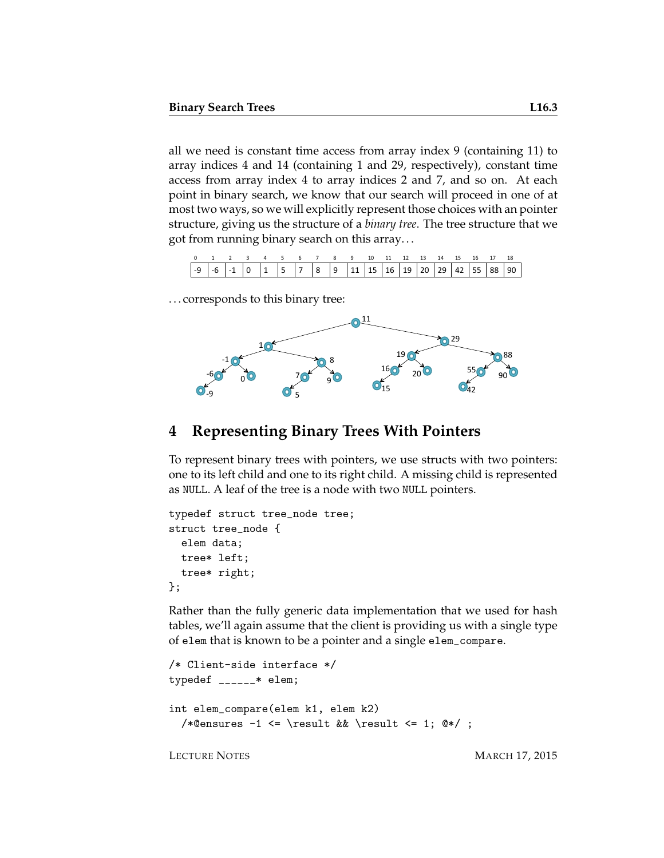all we need is constant time access from array index 9 (containing 11) to array indices 4 and 14 (containing 1 and 29, respectively), constant time access from array index 4 to array indices 2 and 7, and so on. At each point in binary search, we know that our search will proceed in one of at most two ways, so we will explicitly represent those choices with an pointer structure, giving us the structure of a *binary tree*. The tree structure that we got from running binary search on this array. . .

| 0 1 2 3 4 5 6 7 8 9 10 11 12 13 14 15 16 17 18 |  |  |  |  |  |  |  |  |  |
|------------------------------------------------|--|--|--|--|--|--|--|--|--|
|                                                |  |  |  |  |  |  |  |  |  |

. . . corresponds to this binary tree:



#### **4 Representing Binary Trees With Pointers**

To represent binary trees with pointers, we use structs with two pointers: one to its left child and one to its right child. A missing child is represented as NULL. A leaf of the tree is a node with two NULL pointers.

```
typedef struct tree_node tree;
struct tree_node {
  elem data;
 tree* left;
  tree* right;
};
```
Rather than the fully generic data implementation that we used for hash tables, we'll again assume that the client is providing us with a single type of elem that is known to be a pointer and a single elem\_compare.

```
/* Client-side interface */
typedef ______* elem;
int elem_compare(elem k1, elem k2)
  /*@ensures -1 \le \text{ } k\ \result \le 1; 0*/;
```
LECTURE NOTES MARCH 17, 2015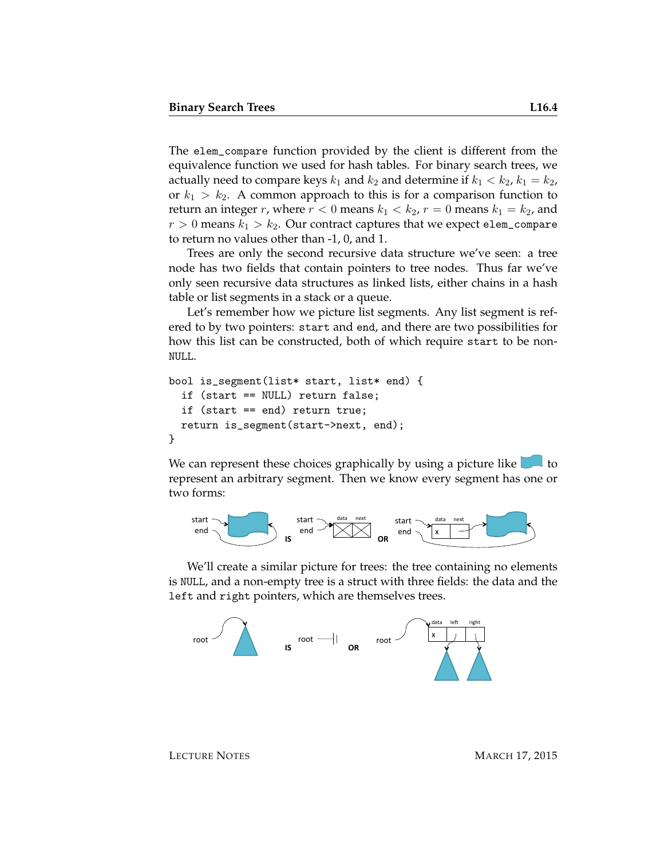The elem\_compare function provided by the client is different from the equivalence function we used for hash tables. For binary search trees, we actually need to compare keys  $k_1$  and  $k_2$  and determine if  $k_1 < k_2$ ,  $k_1 = k_2$ , or  $k_1 > k_2$ . A common approach to this is for a comparison function to return an integer r, where  $r < 0$  means  $k_1 < k_2$ ,  $r = 0$  means  $k_1 = k_2$ , and  $r > 0$  means  $k_1 > k_2$ . Our contract captures that we expect elem\_compare to return no values other than -1, 0, and 1.

Trees are only the second recursive data structure we've seen: a tree node has two fields that contain pointers to tree nodes. Thus far we've only seen recursive data structures as linked lists, either chains in a hash table or list segments in a stack or a queue.

Let's remember how we picture list segments. Any list segment is refered to by two pointers: start and end, and there are two possibilities for how this list can be constructed, both of which require start to be non-NULL.

```
bool is_segment(list* start, list* end) {
  if (start == NULL) return false;
  if (start == end) return true;
  return is_segment(start->next, end);
}
```
We can represent these choices graphically by using a picture like  $\Box$  to represent an arbitrary segment. Then we know every segment has one or two forms:



We'll create a similar picture for trees: the tree containing no elements is NULL, and a non-empty tree is a struct with three fields: the data and the left and right pointers, which are themselves trees.

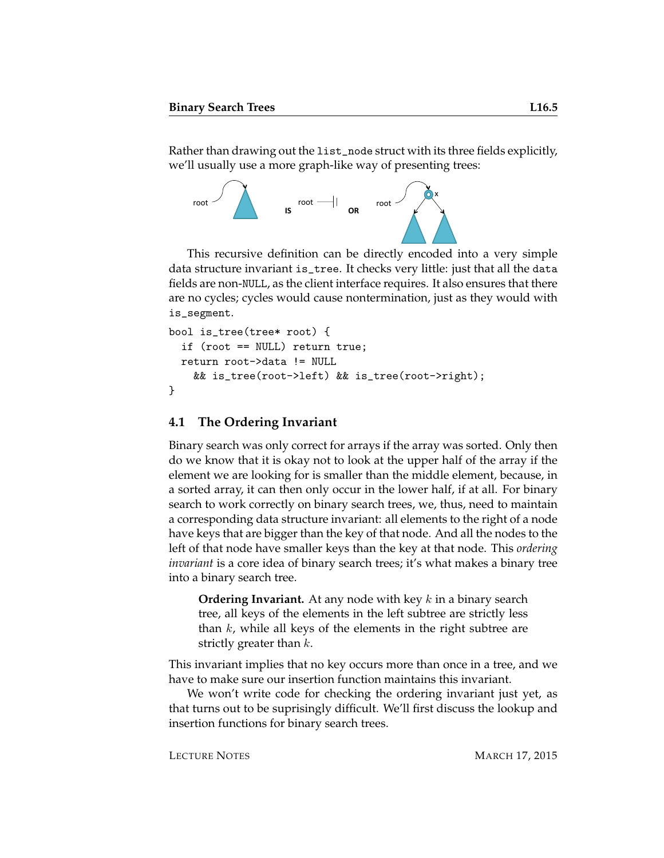Rather than drawing out the list\_node struct with its three fields explicitly, we'll usually use a more graph-like way of presenting trees:



This recursive definition can be directly encoded into a very simple data structure invariant is\_tree. It checks very little: just that all the data fields are non-NULL, as the client interface requires. It also ensures that there are no cycles; cycles would cause nontermination, just as they would with is\_segment.

```
bool is_tree(tree* root) {
  if (root == NULL) return true;
  return root->data != NULL
   && is_tree(root->left) && is_tree(root->right);
}
```
#### **4.1 The Ordering Invariant**

Binary search was only correct for arrays if the array was sorted. Only then do we know that it is okay not to look at the upper half of the array if the element we are looking for is smaller than the middle element, because, in a sorted array, it can then only occur in the lower half, if at all. For binary search to work correctly on binary search trees, we, thus, need to maintain a corresponding data structure invariant: all elements to the right of a node have keys that are bigger than the key of that node. And all the nodes to the left of that node have smaller keys than the key at that node. This *ordering invariant* is a core idea of binary search trees; it's what makes a binary tree into a binary search tree.

**Ordering Invariant.** At any node with key k in a binary search tree, all keys of the elements in the left subtree are strictly less than  $k$ , while all keys of the elements in the right subtree are strictly greater than  $k$ .

This invariant implies that no key occurs more than once in a tree, and we have to make sure our insertion function maintains this invariant.

We won't write code for checking the ordering invariant just yet, as that turns out to be suprisingly difficult. We'll first discuss the lookup and insertion functions for binary search trees.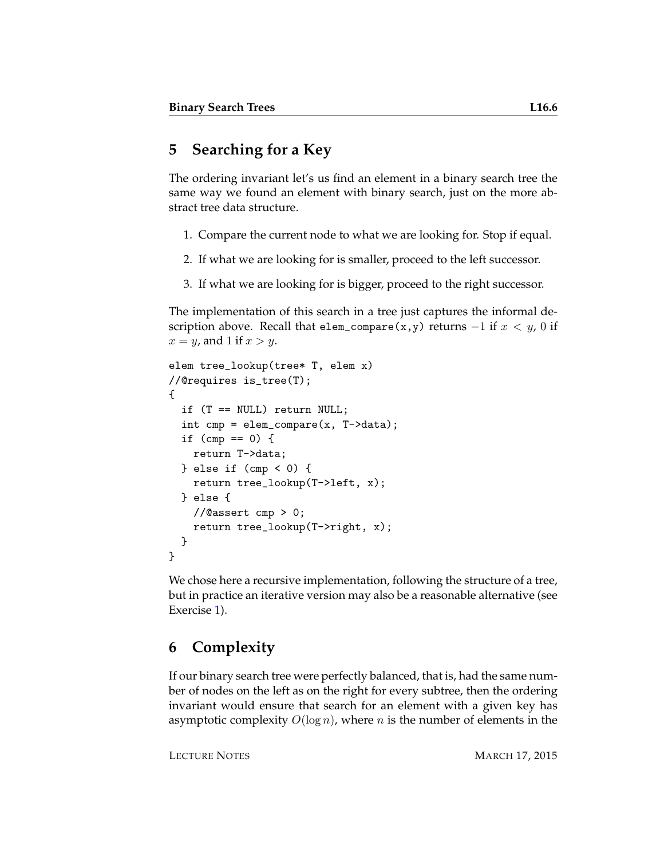## **5 Searching for a Key**

The ordering invariant let's us find an element in a binary search tree the same way we found an element with binary search, just on the more abstract tree data structure.

- 1. Compare the current node to what we are looking for. Stop if equal.
- 2. If what we are looking for is smaller, proceed to the left successor.
- 3. If what we are looking for is bigger, proceed to the right successor.

The implementation of this search in a tree just captures the informal description above. Recall that elem\_compare(x,y) returns  $-1$  if  $x < y$ , 0 if  $x = y$ , and 1 if  $x > y$ .

```
elem tree_lookup(tree* T, elem x)
//@requires is_tree(T);
{
  if (T == NULL) return NULL;
  int cmp = elem\_compare(x, T->data);if (\text{cmp} == 0) {
    return T->data;
  } else if (cmp < 0) {
    return tree_lookup(T->left, x);
  } else {
    //@assert cmp > 0;
    return tree_lookup(T->right, x);
  }
}
```
We chose here a recursive implementation, following the structure of a tree, but in practice an iterative version may also be a reasonable alternative (see Exercise [1\)](#page-13-0).

## **6 Complexity**

If our binary search tree were perfectly balanced, that is, had the same number of nodes on the left as on the right for every subtree, then the ordering invariant would ensure that search for an element with a given key has asymptotic complexity  $O(\log n)$ , where *n* is the number of elements in the

LECTURE NOTES MARCH 17, 2015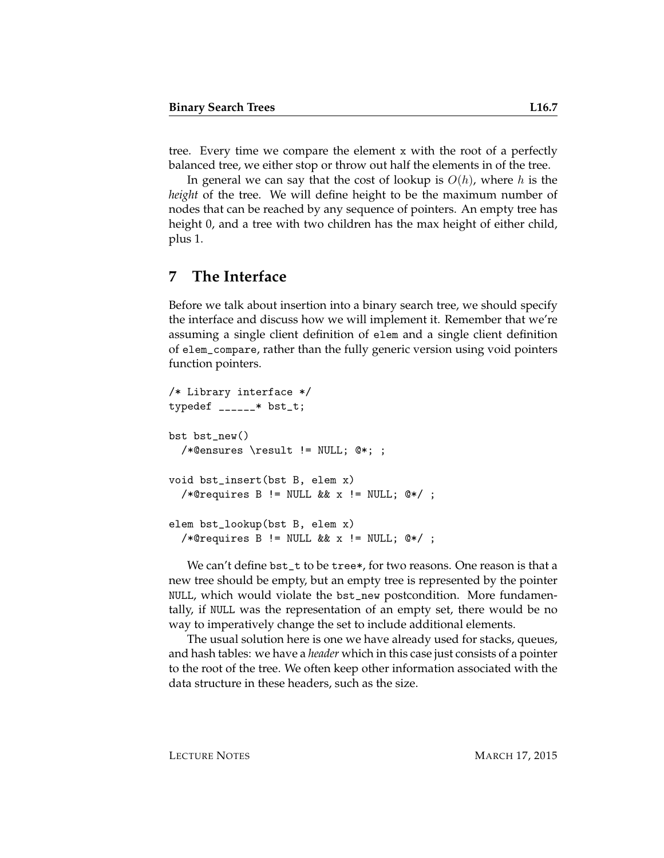tree. Every time we compare the element x with the root of a perfectly balanced tree, we either stop or throw out half the elements in of the tree.

In general we can say that the cost of lookup is  $O(h)$ , where h is the *height* of the tree. We will define height to be the maximum number of nodes that can be reached by any sequence of pointers. An empty tree has height 0, and a tree with two children has the max height of either child, plus 1.

#### **7 The Interface**

Before we talk about insertion into a binary search tree, we should specify the interface and discuss how we will implement it. Remember that we're assuming a single client definition of elem and a single client definition of elem\_compare, rather than the fully generic version using void pointers function pointers.

```
/* Library interface */
typedef ______* bst_t;
bst bst_new()
  /*@ensures \result != NULL; @*; ;
void bst_insert(bst B, elem x)
  /*@requires B != NULL && x != NULL; @*/ ;
elem bst_lookup(bst B, elem x)
  /*@requires B != NULL && x != NULL; @*/ ;
```
We can't define bst\_t to be tree\*, for two reasons. One reason is that a new tree should be empty, but an empty tree is represented by the pointer NULL, which would violate the bst\_new postcondition. More fundamentally, if NULL was the representation of an empty set, there would be no way to imperatively change the set to include additional elements.

The usual solution here is one we have already used for stacks, queues, and hash tables: we have a *header* which in this case just consists of a pointer to the root of the tree. We often keep other information associated with the data structure in these headers, such as the size.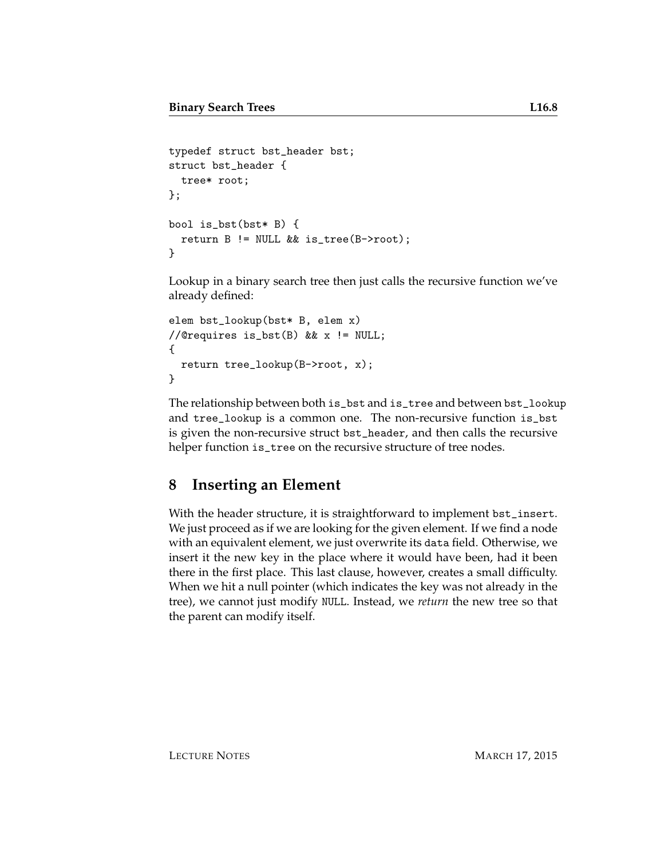```
typedef struct bst_header bst;
struct bst_header {
  tree* root;
};
bool is_bst(bst* B) {
  return B != NULL && is_tree(B->root);
}
```
Lookup in a binary search tree then just calls the recursive function we've already defined:

```
elem bst_lookup(bst* B, elem x)
//@requires is_bst(B) && x != NULL;
{
  return tree_lookup(B->root, x);
}
```
The relationship between both is\_bst and is\_tree and between bst\_lookup and tree\_lookup is a common one. The non-recursive function is\_bst is given the non-recursive struct bst\_header, and then calls the recursive helper function is\_tree on the recursive structure of tree nodes.

## **8 Inserting an Element**

With the header structure, it is straightforward to implement bst\_insert. We just proceed as if we are looking for the given element. If we find a node with an equivalent element, we just overwrite its data field. Otherwise, we insert it the new key in the place where it would have been, had it been there in the first place. This last clause, however, creates a small difficulty. When we hit a null pointer (which indicates the key was not already in the tree), we cannot just modify NULL. Instead, we *return* the new tree so that the parent can modify itself.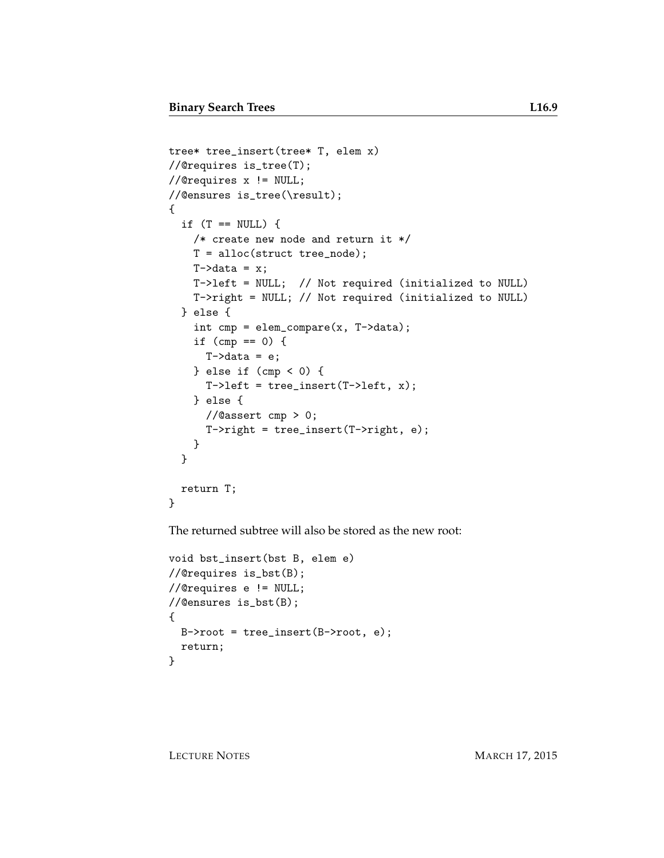```
tree* tree_insert(tree* T, elem x)
//@requires is_tree(T);
//@requires x != NULL;
//@ensures is_tree(\result);
{
  if (T == NULL) {
    /* create new node and return it */
    T = alloc(struct tree_node);
    T->data = x;
    T->left = NULL; // Not required (initialized to NULL)
    T->right = NULL; // Not required (initialized to NULL)
  } else {
    int cmp = elem_compare(x, T->data);
    if (cmp == 0) {
      T-\lambda data = e;
    } else if (\text{cmp} < 0) {
      T-\lambdaleft = tree_insert(T-\lambdaleft, x);
    } else {
      //@assert cmp > 0;
      T->right = tree_insert(T->right, e);
    }
  }
  return T;
}
```
The returned subtree will also be stored as the new root:

```
void bst_insert(bst B, elem e)
//@requires is_bst(B);
//@requires e != NULL;
//@ensures is_bst(B);
{
 B->root = tree_insert(B->root, e);
 return;
}
```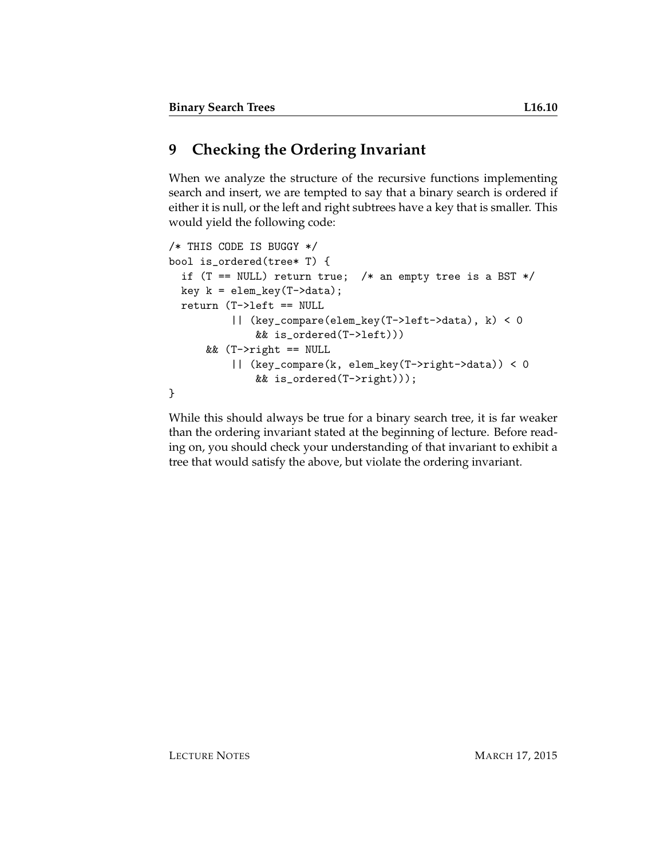## **9 Checking the Ordering Invariant**

When we analyze the structure of the recursive functions implementing search and insert, we are tempted to say that a binary search is ordered if either it is null, or the left and right subtrees have a key that is smaller. This would yield the following code:

```
/* THIS CODE IS BUGGY */
bool is_ordered(tree* T) {
  if (T == NULL) return true; /* an empty tree is a BST */
  key k = elem\_key(T-\lambda data);return (T->left == NULL
          || (key_compare(elem_key(T->left->data), k) < 0
              && is_ordered(T->left)))
      && (T->right == NULL
          || (key_compare(k, elem_key(T->right->data)) < 0
              && is_ordered(T->right)));
}
```
While this should always be true for a binary search tree, it is far weaker than the ordering invariant stated at the beginning of lecture. Before reading on, you should check your understanding of that invariant to exhibit a tree that would satisfy the above, but violate the ordering invariant.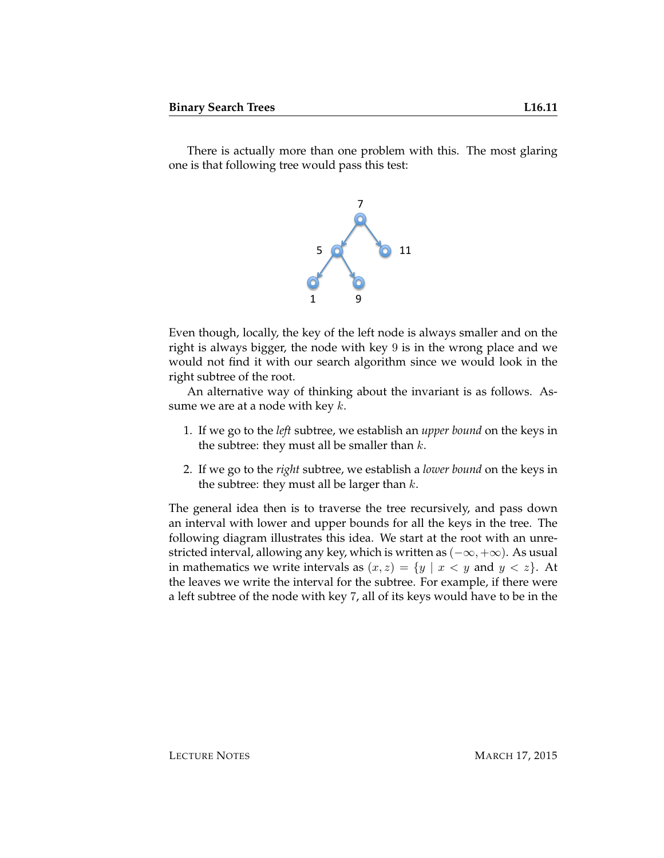There is actually more than one problem with this. The most glaring one is that following tree would pass this test:



Even though, locally, the key of the left node is always smaller and on the right is always bigger, the node with key 9 is in the wrong place and we would not find it with our search algorithm since we would look in the right subtree of the root.

An alternative way of thinking about the invariant is as follows. Assume we are at a node with key  $k$ .

- 1. If we go to the *left* subtree, we establish an *upper bound* on the keys in the subtree: they must all be smaller than  $k$ .
- 2. If we go to the *right* subtree, we establish a *lower bound* on the keys in the subtree: they must all be larger than  $k$ .

The general idea then is to traverse the tree recursively, and pass down an interval with lower and upper bounds for all the keys in the tree. The following diagram illustrates this idea. We start at the root with an unrestricted interval, allowing any key, which is written as  $(-\infty, +\infty)$ . As usual in mathematics we write intervals as  $(x, z) = \{y \mid x < y \text{ and } y < z\}.$  At the leaves we write the interval for the subtree. For example, if there were a left subtree of the node with key 7, all of its keys would have to be in the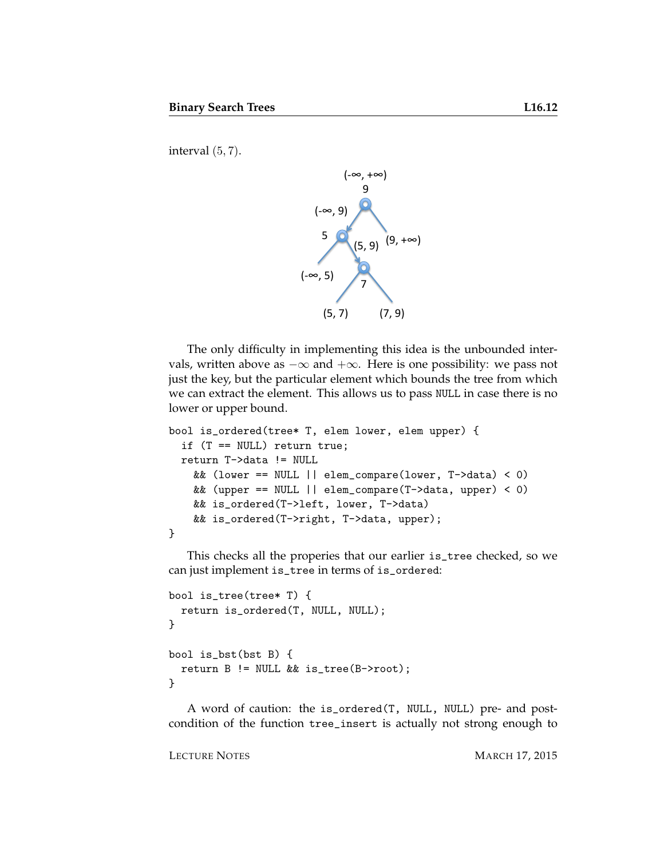interval (5, 7).



The only difficulty in implementing this idea is the unbounded intervals, written above as  $-\infty$  and  $+\infty$ . Here is one possibility: we pass not just the key, but the particular element which bounds the tree from which we can extract the element. This allows us to pass NULL in case there is no lower or upper bound.

```
bool is_ordered(tree* T, elem lower, elem upper) {
  if (T == NULL) return true;
 return T->data != NULL
   && (lower == NULL || elem_compare(lower, T->data) < 0)
   && (upper == NULL || elem_compare(T->data, upper) < 0)
   && is_ordered(T->left, lower, T->data)
   && is_ordered(T->right, T->data, upper);
}
```
This checks all the properies that our earlier is\_tree checked, so we can just implement is\_tree in terms of is\_ordered:

```
bool is_tree(tree* T) {
  return is_ordered(T, NULL, NULL);
}
bool is_bst(bst B) {
  return B != NULL && is_tree(B->root);
}
```
A word of caution: the is\_ordered(T, NULL, NULL) pre- and postcondition of the function tree\_insert is actually not strong enough to

LECTURE NOTES MARCH 17, 2015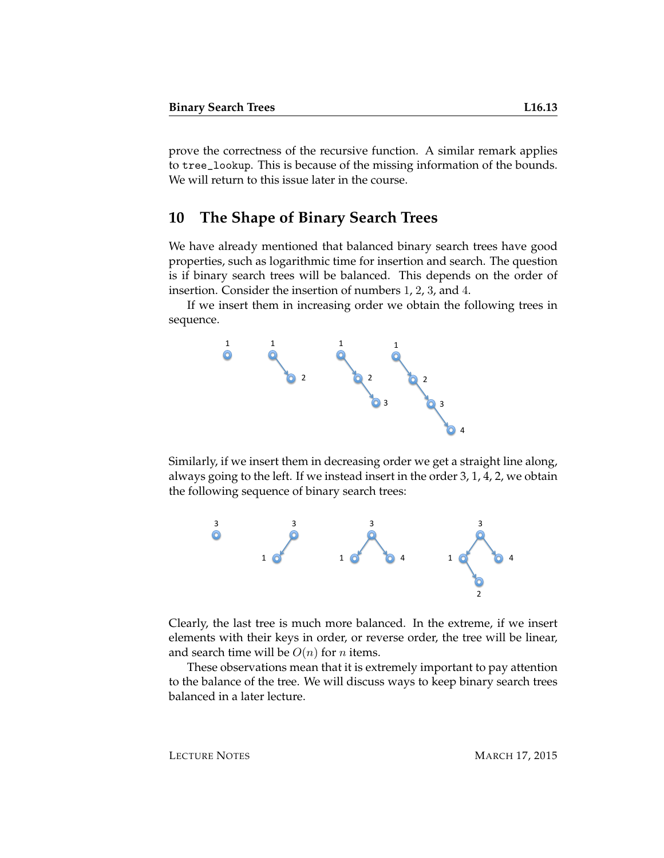prove the correctness of the recursive function. A similar remark applies to tree\_lookup. This is because of the missing information of the bounds. We will return to this issue later in the course.

#### **10 The Shape of Binary Search Trees**

We have already mentioned that balanced binary search trees have good properties, such as logarithmic time for insertion and search. The question is if binary search trees will be balanced. This depends on the order of insertion. Consider the insertion of numbers 1, 2, 3, and 4.

If we insert them in increasing order we obtain the following trees in sequence.



Similarly, if we insert them in decreasing order we get a straight line along, always going to the left. If we instead insert in the order 3, 1, 4, 2, we obtain the following sequence of binary search trees:



Clearly, the last tree is much more balanced. In the extreme, if we insert elements with their keys in order, or reverse order, the tree will be linear, and search time will be  $O(n)$  for *n* items.

These observations mean that it is extremely important to pay attention to the balance of the tree. We will discuss ways to keep binary search trees balanced in a later lecture.